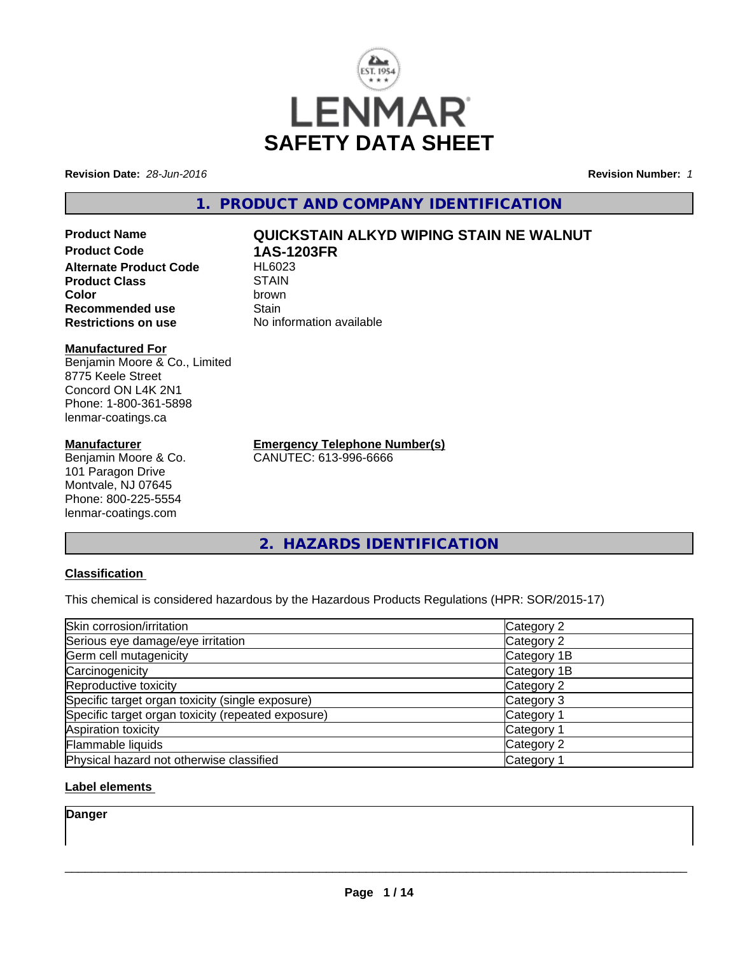

**Revision Date:** *28-Jun-2016* **Revision Number:** *1*

# **1. PRODUCT AND COMPANY IDENTIFICATION**

**Product Name QUICKSTAIN ALKYD WIPING STAIN NE WALNUT Product Code 1AS-1203FR Alternate Product Code Product Class** STAIN<br> **Color** brown **Color** brown **Recommended use Stain Restrictions on use** No information available

#### **Manufactured For**

Benjamin Moore & Co., Limited 8775 Keele Street Concord ON L4K 2N1 Phone: 1-800-361-5898 lenmar-coatings.ca

### **Manufacturer**

Benjamin Moore & Co. 101 Paragon Drive Montvale, NJ 07645 Phone: 800-225-5554 lenmar-coatings.com

**Emergency Telephone Number(s)** CANUTEC: 613-996-6666

**2. HAZARDS IDENTIFICATION**

## **Classification**

This chemical is considered hazardous by the Hazardous Products Regulations (HPR: SOR/2015-17)

| Skin corrosion/irritation                          | Category 2            |
|----------------------------------------------------|-----------------------|
| Serious eye damage/eye irritation                  | Category 2            |
| Germ cell mutagenicity                             | Category 1B           |
| Carcinogenicity                                    | Category 1B           |
| Reproductive toxicity                              | Category 2            |
| Specific target organ toxicity (single exposure)   | Category 3            |
| Specific target organ toxicity (repeated exposure) | Category <sup>2</sup> |
| Aspiration toxicity                                | Category 1            |
| Flammable liquids                                  | Category 2            |
| Physical hazard not otherwise classified           | Category 1            |

## **Label elements**

**Danger**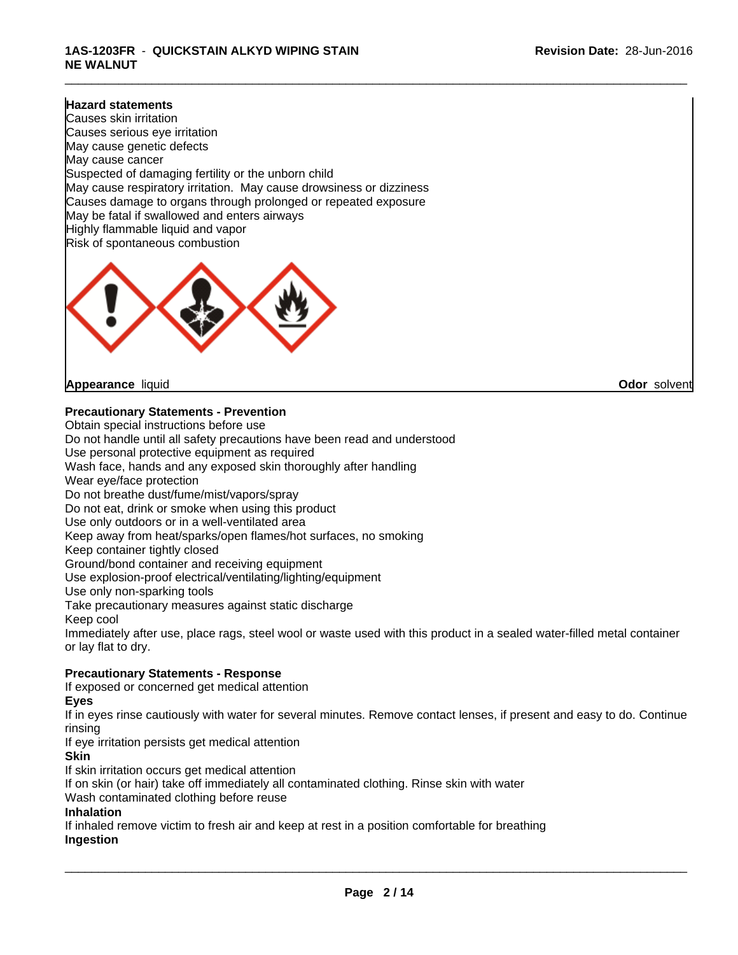## **1AS-1203FR** - **QUICKSTAIN ALKYD WIPING STAIN NE WALNUT**

#### **Hazard statements**

Causes skin irritation Causes serious eye irritation May cause genetic defects May cause cancer Suspected of damaging fertility or the unborn child May cause respiratory irritation. May cause drowsiness or dizziness Causes damage to organs through prolonged or repeated exposure May be fatal if swallowed and enters airways Highly flammable liquid and vapor Risk of spontaneous combustion



**Appearance** liquid **Odor** solvent

**Precautionary Statements - Prevention**

Obtain special instructions before use Do not handle until all safety precautions have been read and understood Use personal protective equipment as required Wash face, hands and any exposed skin thoroughly after handling Wear eye/face protection Do not breathe dust/fume/mist/vapors/spray Do not eat, drink or smoke when using this product Use only outdoors or in a well-ventilated area Keep away from heat/sparks/open flames/hot surfaces, no smoking Keep container tightly closed Ground/bond container and receiving equipment Use explosion-proof electrical/ventilating/lighting/equipment Use only non-sparking tools Take precautionary measures against static discharge Keep cool Immediately after use, place rags, steel wool or waste used with this product in a sealed water-filled metal container or lay flat to dry. **Precautionary Statements - Response** If exposed or concerned get medical attention **Eyes**

If in eyes rinse cautiously with water for several minutes. Remove contact lenses, if present and easy to do. Continue rinsing

If eye irritation persists get medical attention

**Skin**

If skin irritation occurs get medical attention

If on skin (or hair) take off immediately all contaminated clothing. Rinse skin with water

Wash contaminated clothing before reuse

#### **Inhalation**

If inhaled remove victim to fresh air and keep at rest in a position comfortable for breathing **Ingestion**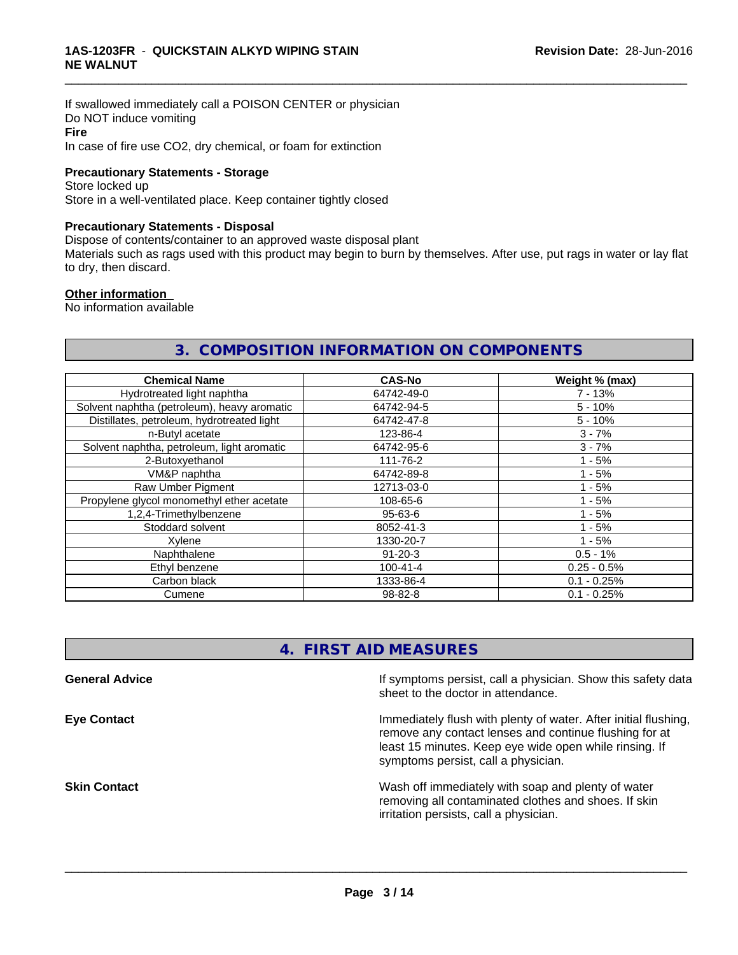If swallowed immediately call a POISON CENTER or physician Do NOT induce vomiting **Fire** In case of fire use CO2, dry chemical, or foam for extinction

#### **Precautionary Statements - Storage**

Store locked up Store in a well-ventilated place. Keep container tightly closed

### **Precautionary Statements - Disposal**

Dispose of contents/container to an approved waste disposal plant

Materials such as rags used with this product may begin to burn by themselves. After use, put rags in water or lay flat to dry, then discard.

\_\_\_\_\_\_\_\_\_\_\_\_\_\_\_\_\_\_\_\_\_\_\_\_\_\_\_\_\_\_\_\_\_\_\_\_\_\_\_\_\_\_\_\_\_\_\_\_\_\_\_\_\_\_\_\_\_\_\_\_\_\_\_\_\_\_\_\_\_\_\_\_\_\_\_\_\_\_\_\_\_\_\_\_\_\_\_\_\_\_\_\_\_

#### **Other information**

No information available

# **3. COMPOSITION INFORMATION ON COMPONENTS**

| <b>Chemical Name</b>                        | <b>CAS-No</b>  | Weight % (max) |
|---------------------------------------------|----------------|----------------|
| Hydrotreated light naphtha                  | 64742-49-0     | $7 - 13%$      |
| Solvent naphtha (petroleum), heavy aromatic | 64742-94-5     | $5 - 10%$      |
| Distillates, petroleum, hydrotreated light  | 64742-47-8     | $5 - 10%$      |
| n-Butyl acetate                             | 123-86-4       | $3 - 7%$       |
| Solvent naphtha, petroleum, light aromatic  | 64742-95-6     | $3 - 7%$       |
| 2-Butoxyethanol                             | 111-76-2       | $1 - 5%$       |
| VM&P naphtha                                | 64742-89-8     | $1 - 5%$       |
| Raw Umber Pigment                           | 12713-03-0     | $1 - 5%$       |
| Propylene glycol monomethyl ether acetate   | 108-65-6       | $1 - 5%$       |
| 1,2,4-Trimethylbenzene                      | $95 - 63 - 6$  | $1 - 5%$       |
| Stoddard solvent                            | 8052-41-3      | $1 - 5%$       |
| Xvlene                                      | 1330-20-7      | $1 - 5%$       |
| Naphthalene                                 | $91 - 20 - 3$  | $0.5 - 1%$     |
| Ethyl benzene                               | $100 - 41 - 4$ | $0.25 - 0.5%$  |
| Carbon black                                | 1333-86-4      | $0.1 - 0.25%$  |
| Cumene                                      | 98-82-8        | $0.1 - 0.25%$  |

# **4. FIRST AID MEASURES**

| <b>General Advice</b> | If symptoms persist, call a physician. Show this safety data<br>sheet to the doctor in attendance.                                                                                                                         |
|-----------------------|----------------------------------------------------------------------------------------------------------------------------------------------------------------------------------------------------------------------------|
| <b>Eye Contact</b>    | Immediately flush with plenty of water. After initial flushing,<br>remove any contact lenses and continue flushing for at<br>least 15 minutes. Keep eye wide open while rinsing. If<br>symptoms persist, call a physician. |
| <b>Skin Contact</b>   | Wash off immediately with soap and plenty of water<br>removing all contaminated clothes and shoes. If skin<br>irritation persists, call a physician.                                                                       |
|                       |                                                                                                                                                                                                                            |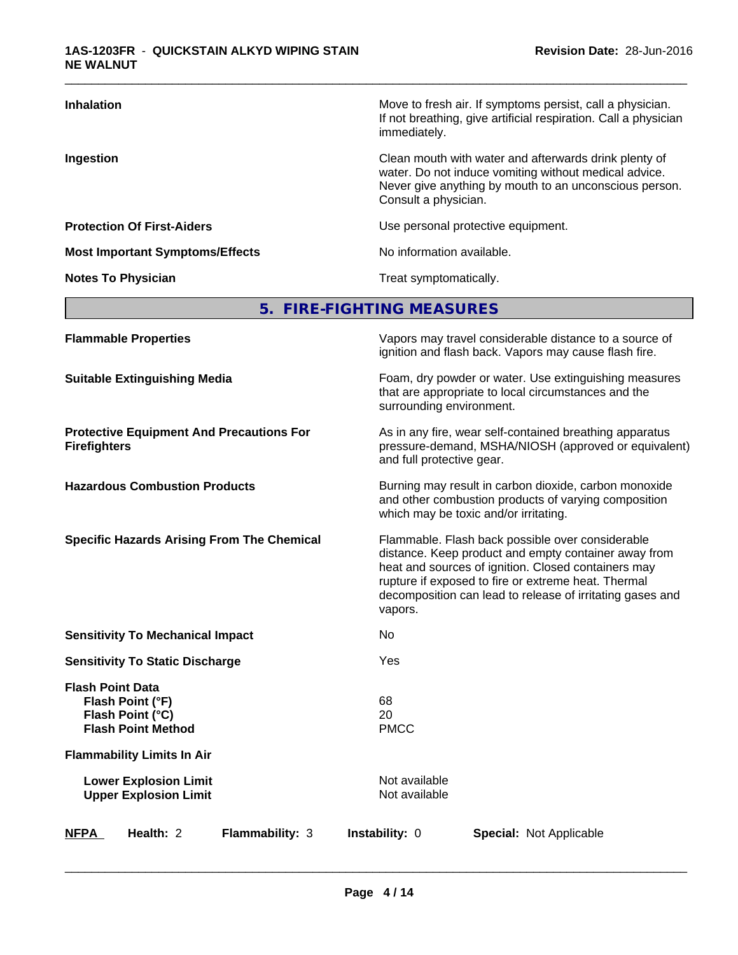| <b>Inhalation</b>                      | Move to fresh air. If symptoms persist, call a physician.<br>If not breathing, give artificial respiration. Call a physician<br>immediately.                                                     |
|----------------------------------------|--------------------------------------------------------------------------------------------------------------------------------------------------------------------------------------------------|
| Ingestion                              | Clean mouth with water and afterwards drink plenty of<br>water. Do not induce vomiting without medical advice.<br>Never give anything by mouth to an unconscious person.<br>Consult a physician. |
| <b>Protection Of First-Aiders</b>      | Use personal protective equipment.                                                                                                                                                               |
| <b>Most Important Symptoms/Effects</b> | No information available.                                                                                                                                                                        |
| <b>Notes To Physician</b>              | Treat symptomatically.                                                                                                                                                                           |

# **5. FIRE-FIGHTING MEASURES**

| <b>Flammable Properties</b>                                                                  | Vapors may travel considerable distance to a source of<br>ignition and flash back. Vapors may cause flash fire.                                                                                                                                                                                |  |
|----------------------------------------------------------------------------------------------|------------------------------------------------------------------------------------------------------------------------------------------------------------------------------------------------------------------------------------------------------------------------------------------------|--|
| <b>Suitable Extinguishing Media</b>                                                          | Foam, dry powder or water. Use extinguishing measures<br>that are appropriate to local circumstances and the<br>surrounding environment.                                                                                                                                                       |  |
| <b>Protective Equipment And Precautions For</b><br><b>Firefighters</b>                       | As in any fire, wear self-contained breathing apparatus<br>pressure-demand, MSHA/NIOSH (approved or equivalent)<br>and full protective gear.                                                                                                                                                   |  |
| <b>Hazardous Combustion Products</b>                                                         | Burning may result in carbon dioxide, carbon monoxide<br>and other combustion products of varying composition<br>which may be toxic and/or irritating.                                                                                                                                         |  |
| <b>Specific Hazards Arising From The Chemical</b>                                            | Flammable. Flash back possible over considerable<br>distance. Keep product and empty container away from<br>heat and sources of ignition. Closed containers may<br>rupture if exposed to fire or extreme heat. Thermal<br>decomposition can lead to release of irritating gases and<br>vapors. |  |
| <b>Sensitivity To Mechanical Impact</b>                                                      | No                                                                                                                                                                                                                                                                                             |  |
| <b>Sensitivity To Static Discharge</b>                                                       | Yes                                                                                                                                                                                                                                                                                            |  |
| <b>Flash Point Data</b><br>Flash Point (°F)<br>Flash Point (°C)<br><b>Flash Point Method</b> | 68<br>20<br><b>PMCC</b>                                                                                                                                                                                                                                                                        |  |
| <b>Flammability Limits In Air</b>                                                            |                                                                                                                                                                                                                                                                                                |  |
| <b>Lower Explosion Limit</b><br><b>Upper Explosion Limit</b>                                 | Not available<br>Not available                                                                                                                                                                                                                                                                 |  |
| Health: 2<br>Flammability: 3<br><b>NFPA</b>                                                  | Instability: 0<br>Special: Not Applicable                                                                                                                                                                                                                                                      |  |
|                                                                                              |                                                                                                                                                                                                                                                                                                |  |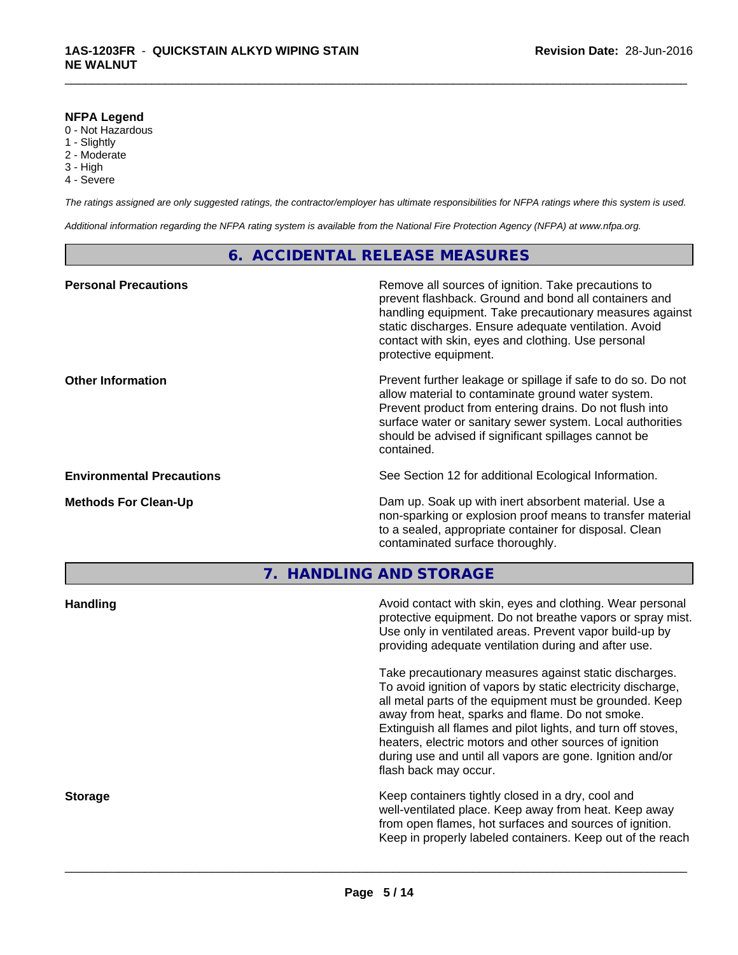#### **NFPA Legend**

- 0 Not Hazardous
- 1 Slightly
- 2 Moderate
- 3 High
- 4 Severe

*The ratings assigned are only suggested ratings, the contractor/employer has ultimate responsibilities for NFPA ratings where this system is used.*

\_\_\_\_\_\_\_\_\_\_\_\_\_\_\_\_\_\_\_\_\_\_\_\_\_\_\_\_\_\_\_\_\_\_\_\_\_\_\_\_\_\_\_\_\_\_\_\_\_\_\_\_\_\_\_\_\_\_\_\_\_\_\_\_\_\_\_\_\_\_\_\_\_\_\_\_\_\_\_\_\_\_\_\_\_\_\_\_\_\_\_\_\_

*Additional information regarding the NFPA rating system is available from the National Fire Protection Agency (NFPA) at www.nfpa.org.*

# **6. ACCIDENTAL RELEASE MEASURES**

| <b>Personal Precautions</b>      | Remove all sources of ignition. Take precautions to<br>prevent flashback. Ground and bond all containers and<br>handling equipment. Take precautionary measures against<br>static discharges. Ensure adequate ventilation. Avoid<br>contact with skin, eyes and clothing. Use personal<br>protective equipment.  |
|----------------------------------|------------------------------------------------------------------------------------------------------------------------------------------------------------------------------------------------------------------------------------------------------------------------------------------------------------------|
| <b>Other Information</b>         | Prevent further leakage or spillage if safe to do so. Do not<br>allow material to contaminate ground water system.<br>Prevent product from entering drains. Do not flush into<br>surface water or sanitary sewer system. Local authorities<br>should be advised if significant spillages cannot be<br>contained. |
| <b>Environmental Precautions</b> | See Section 12 for additional Ecological Information.                                                                                                                                                                                                                                                            |
| <b>Methods For Clean-Up</b>      | Dam up. Soak up with inert absorbent material. Use a<br>non-sparking or explosion proof means to transfer material<br>to a sealed, appropriate container for disposal. Clean<br>contaminated surface thoroughly.                                                                                                 |
|                                  |                                                                                                                                                                                                                                                                                                                  |

# **7. HANDLING AND STORAGE**

| protective equipment. Do not breathe vapors or spray mist.<br>Use only in ventilated areas. Prevent vapor build-up by<br>providing adequate ventilation during and after use.                                                                                                                                                                                                                                                                        |
|------------------------------------------------------------------------------------------------------------------------------------------------------------------------------------------------------------------------------------------------------------------------------------------------------------------------------------------------------------------------------------------------------------------------------------------------------|
| Take precautionary measures against static discharges.<br>To avoid ignition of vapors by static electricity discharge,<br>all metal parts of the equipment must be grounded. Keep<br>away from heat, sparks and flame. Do not smoke.<br>Extinguish all flames and pilot lights, and turn off stoves,<br>heaters, electric motors and other sources of ignition<br>during use and until all vapors are gone. Ignition and/or<br>flash back may occur. |
| Keep containers tightly closed in a dry, cool and<br>well-ventilated place. Keep away from heat. Keep away<br>from open flames, hot surfaces and sources of ignition.<br>Keep in properly labeled containers. Keep out of the reach                                                                                                                                                                                                                  |
|                                                                                                                                                                                                                                                                                                                                                                                                                                                      |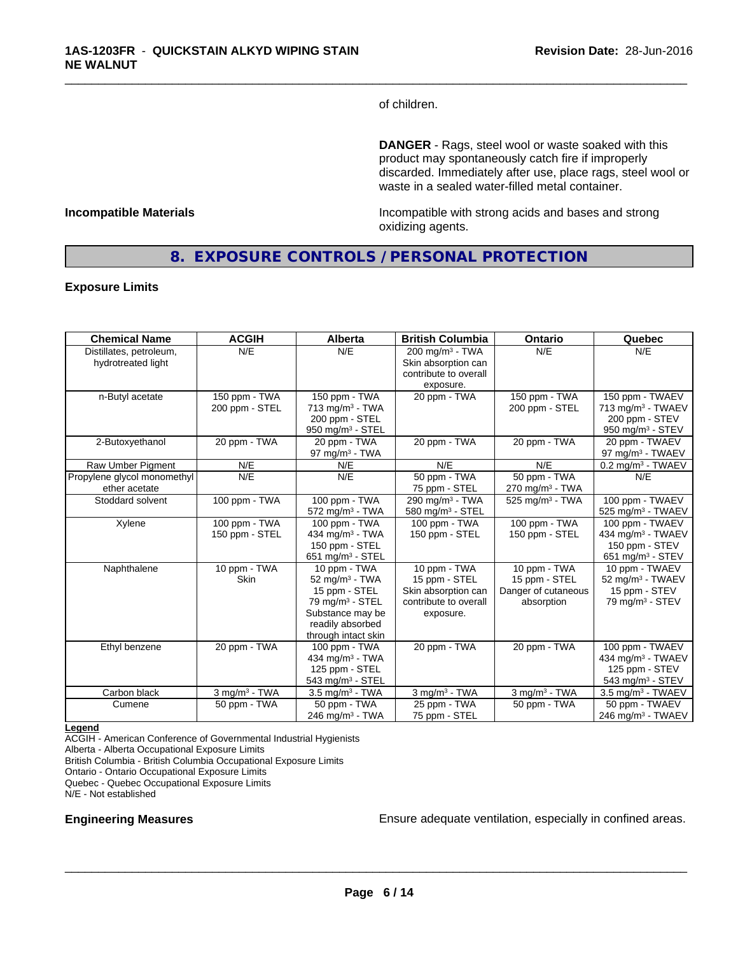of children.

\_\_\_\_\_\_\_\_\_\_\_\_\_\_\_\_\_\_\_\_\_\_\_\_\_\_\_\_\_\_\_\_\_\_\_\_\_\_\_\_\_\_\_\_\_\_\_\_\_\_\_\_\_\_\_\_\_\_\_\_\_\_\_\_\_\_\_\_\_\_\_\_\_\_\_\_\_\_\_\_\_\_\_\_\_\_\_\_\_\_\_\_\_

**DANGER** - Rags, steel wool or waste soaked with this product may spontaneously catch fire if improperly discarded. Immediately after use, place rags, steel wool or waste in a sealed water-filled metal container.

**Incompatible Materials Incompatible with strong acids and bases and strong** oxidizing agents.

# **8. EXPOSURE CONTROLS / PERSONAL PROTECTION**

#### **Exposure Limits**

| <b>Chemical Name</b>                          | <b>ACGIH</b>                    | Alberta                                                                                                                                                  | <b>British Columbia</b>                                                                    | Ontario                                                            | Quebec                                                                                             |
|-----------------------------------------------|---------------------------------|----------------------------------------------------------------------------------------------------------------------------------------------------------|--------------------------------------------------------------------------------------------|--------------------------------------------------------------------|----------------------------------------------------------------------------------------------------|
| Distillates, petroleum,<br>hydrotreated light | N/E                             | N/E                                                                                                                                                      | $200 \text{ mg/m}^3$ - TWA<br>Skin absorption can<br>contribute to overall                 | N/E                                                                | N/E                                                                                                |
|                                               |                                 |                                                                                                                                                          | exposure.                                                                                  |                                                                    |                                                                                                    |
| n-Butyl acetate                               | 150 ppm - TWA<br>200 ppm - STEL | 150 ppm - TWA<br>$713$ mg/m <sup>3</sup> - TWA<br>200 ppm - STEL<br>950 mg/m <sup>3</sup> - STEL                                                         | 20 ppm - TWA                                                                               | 150 ppm - TWA<br>200 ppm - STEL                                    | 150 ppm - TWAEV<br>713 mg/m <sup>3</sup> - TWAEV<br>200 ppm - STEV<br>950 mg/m $3 -$ STEV          |
| 2-Butoxyethanol                               | 20 ppm - TWA                    | 20 ppm - TWA<br>97 mg/m $3$ - TWA                                                                                                                        | 20 ppm - TWA                                                                               | 20 ppm - TWA                                                       | 20 ppm - TWAEV<br>97 mg/m <sup>3</sup> - TWAEV                                                     |
| Raw Umber Pigment                             | N/E                             | N/E                                                                                                                                                      | N/E                                                                                        | N/E                                                                | 0.2 mg/m <sup>3</sup> - TWAEV                                                                      |
| Propylene glycol monomethyl<br>ether acetate  | N/E                             | N/E                                                                                                                                                      | 50 ppm - TWA<br>75 ppm - STEL                                                              | 50 ppm - TWA<br>$270$ mg/m <sup>3</sup> - TWA                      | N/E                                                                                                |
| Stoddard solvent                              | 100 ppm - TWA                   | 100 ppm - TWA<br>$572$ mg/m <sup>3</sup> - TWA                                                                                                           | 290 mg/m <sup>3</sup> - TWA<br>580 mg/m <sup>3</sup> - STEL                                | $525$ mg/m <sup>3</sup> - TWA                                      | 100 ppm - TWAEV<br>525 mg/m <sup>3</sup> - TWAEV                                                   |
| Xylene                                        | 100 ppm - TWA<br>150 ppm - STEL | 100 ppm - TWA<br>434 mg/m <sup>3</sup> - TWA<br>150 ppm - STEL<br>651 mg/m $3 -$ STEL                                                                    | 100 ppm - TWA<br>150 ppm - STEL                                                            | 100 ppm - TWA<br>150 ppm - STEL                                    | 100 ppm - TWAEV<br>434 mg/m <sup>3</sup> - TWAEV<br>150 ppm - STEV<br>651 mg/m <sup>3</sup> - STEV |
| Naphthalene                                   | 10 ppm - TWA<br><b>Skin</b>     | 10 ppm - TWA<br>$52 \text{ mg/m}^3$ - TWA<br>15 ppm - STEL<br>79 mg/m <sup>3</sup> - STEL<br>Substance may be<br>readily absorbed<br>through intact skin | 10 ppm - TWA<br>15 ppm - STEL<br>Skin absorption can<br>contribute to overall<br>exposure. | 10 ppm - TWA<br>15 ppm - STEL<br>Danger of cutaneous<br>absorption | 10 ppm - TWAEV<br>52 mg/m <sup>3</sup> - TWAEV<br>15 ppm - STEV<br>79 mg/m $3 -$ STEV              |
| Ethyl benzene                                 | 20 ppm - TWA                    | 100 ppm - TWA<br>434 mg/m <sup>3</sup> - TWA<br>125 ppm - STEL<br>543 mg/m <sup>3</sup> - STEL                                                           | 20 ppm - TWA                                                                               | 20 ppm - TWA                                                       | 100 ppm - TWAEV<br>434 mg/m <sup>3</sup> - TWAEV<br>125 ppm - STEV<br>543 mg/m <sup>3</sup> - STEV |
| Carbon black                                  | $3$ mg/m $3$ - TWA              | $3.5$ mg/m $3$ - TWA                                                                                                                                     | $3$ mg/m $3$ - TWA                                                                         | $3$ mg/m $3$ - TWA                                                 | $3.5$ mg/m <sup>3</sup> - TWAEV                                                                    |
| Cumene                                        | 50 ppm - TWA                    | $50$ ppm - TWA<br>$246$ mg/m <sup>3</sup> - TWA                                                                                                          | 25 ppm - TWA<br>75 ppm - STEL                                                              | 50 ppm - TWA                                                       | 50 ppm - TWAEV<br>246 mg/m <sup>3</sup> - TWAEV                                                    |

#### **Legend**

ACGIH - American Conference of Governmental Industrial Hygienists Alberta - Alberta Occupational Exposure Limits British Columbia - British Columbia Occupational Exposure Limits Ontario - Ontario Occupational Exposure Limits

Quebec - Quebec Occupational Exposure Limits

N/E - Not established

**Engineering Measures Ensure adequate ventilation, especially in confined areas.**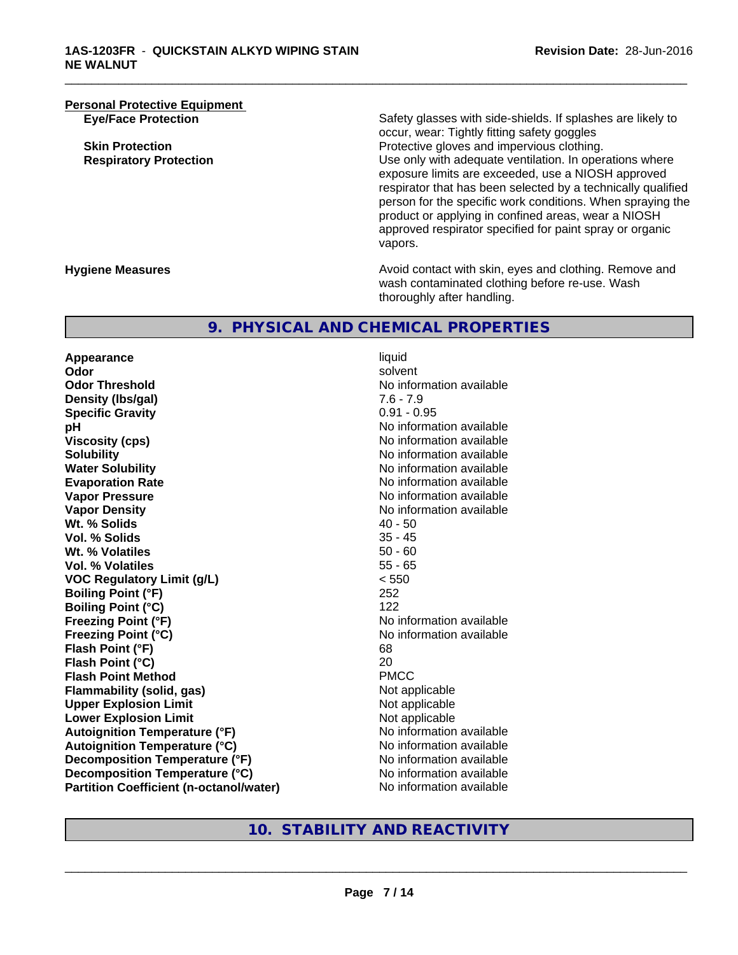**Personal Protective Equipment**<br> **Eye/Face Protection** 

Safety glasses with side-shields. If splashes are likely to occur, wear: Tightly fitting safety goggles **Skin Protection Protection Protective gloves and impervious clothing. Respiratory Protection Number 1** (Use only with adequate ventilation. In operations where exposure limits are exceeded, use a NIOSH approved respirator that has been selected by a technically qualified person for the specific work conditions. When spraying the product or applying in confined areas, wear a NIOSH approved respirator specified for paint spray or organic vapors.

**Hygiene Measures Avoid contact with skin, eyes and clothing. Remove and Avoid contact with skin, eyes and clothing. Remove and Avoid contact with skin, eyes and clothing. Remove and** wash contaminated clothing before re-use. Wash thoroughly after handling.

# **9. PHYSICAL AND CHEMICAL PROPERTIES**

**Appearance** liquid<br> **Appearance** liquid<br> **Odor** solve **Odor** solvent **Odor Threshold No information available No information available Density (Ibs/gal)** 7.6 - 7.9<br> **Specific Gravity** 3.1 2.2 2.2 2.2 2.2 2.95 **Specific Gravity pH** No information available **Viscosity (cps)** No information available in the Viscosity (cps) **Solubility No information available No information available Water Solubility Water Solubility No information available Evaporation Rate No information available No information available Vapor Pressure** No information available No information available **Vapor Density**<br> **We Solids** (*We Solids* (*We Solids* (*We Solids* (*Me )* (*All 20 - 50* **Wt. % Solids** 40 - 50<br> **Vol. % Solids** 35 - 45 **Vol. % Solids Wt. % Volatiles 50 - 60<br>
<b>Vol. % Volatiles** 55 - 65 **Vol. % Volatiles VOC Regulatory Limit (g/L)** < 550 **Boiling Point (°F)** 252 **Boiling Point (°C)** 122 **Freezing Point (°F)** No information available **Freezing Point (°C)** No information available **Flash Point (°F)** 68 **Flash Point (°C)** 20 **Flash Point Method Flammability (solid, gas)** Not applicable **Upper Explosion Limit**<br> **Lower Explosion Limit**<br> **Lower Explosion Limit Lower Explosion Limit Autoignition Temperature (°F)** No information available **Autoignition Temperature (°C)** No information available **Decomposition Temperature (°F)** No information available **Decomposition Temperature (°C)** No information available **Partition Coefficient (n-octanol/water)** No information available

\_\_\_\_\_\_\_\_\_\_\_\_\_\_\_\_\_\_\_\_\_\_\_\_\_\_\_\_\_\_\_\_\_\_\_\_\_\_\_\_\_\_\_\_\_\_\_\_\_\_\_\_\_\_\_\_\_\_\_\_\_\_\_\_\_\_\_\_\_\_\_\_\_\_\_\_\_\_\_\_\_\_\_\_\_\_\_\_\_\_\_\_\_

# **10. STABILITY AND REACTIVITY**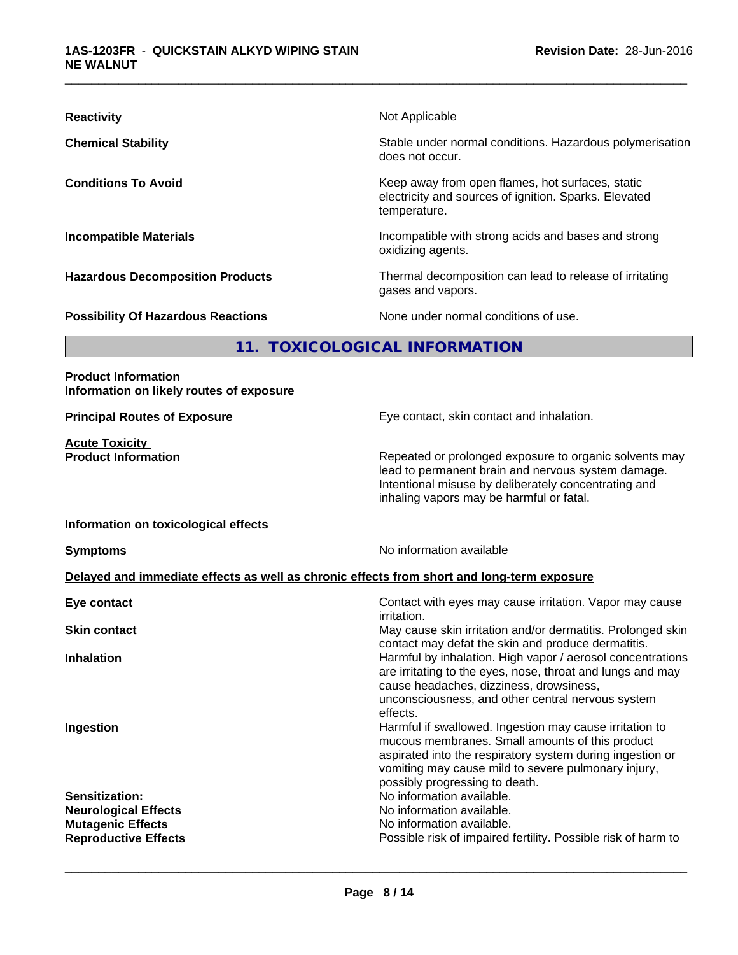| <b>Reactivity</b>                         | Not Applicable                                                                                                            |  |
|-------------------------------------------|---------------------------------------------------------------------------------------------------------------------------|--|
| <b>Chemical Stability</b>                 | Stable under normal conditions. Hazardous polymerisation<br>does not occur.                                               |  |
| <b>Conditions To Avoid</b>                | Keep away from open flames, hot surfaces, static<br>electricity and sources of ignition. Sparks. Elevated<br>temperature. |  |
| <b>Incompatible Materials</b>             | Incompatible with strong acids and bases and strong<br>oxidizing agents.                                                  |  |
| <b>Hazardous Decomposition Products</b>   | Thermal decomposition can lead to release of irritating<br>gases and vapors.                                              |  |
| <b>Possibility Of Hazardous Reactions</b> | None under normal conditions of use.                                                                                      |  |
| 11. TOXICOLOGICAL INFORMATION             |                                                                                                                           |  |

## **Product Information Information on likely routes of exposure**

**Acute Toxicity** 

**Principal Routes of Exposure Exposure** Eye contact, skin contact and inhalation.

**Product Information Repeated or prolonged exposure to organic solvents may** lead to permanent brain and nervous system damage. Intentional misuse by deliberately concentrating and inhaling vapors may be harmful or fatal.

#### **Information on toxicological effects**

**Symptoms** No information available

## **Delayed and immediate effects as well as chronic effects from short and long-term exposure**

| Eye contact                                             | Contact with eyes may cause irritation. Vapor may cause<br><i>irritation.</i>                                                                                                                                                                                                              |
|---------------------------------------------------------|--------------------------------------------------------------------------------------------------------------------------------------------------------------------------------------------------------------------------------------------------------------------------------------------|
| <b>Skin contact</b>                                     | May cause skin irritation and/or dermatitis. Prolonged skin                                                                                                                                                                                                                                |
| <b>Inhalation</b>                                       | contact may defat the skin and produce dermatitis.<br>Harmful by inhalation. High vapor / aerosol concentrations<br>are irritating to the eyes, nose, throat and lungs and may<br>cause headaches, dizziness, drowsiness,<br>unconsciousness, and other central nervous system<br>effects. |
| Ingestion                                               | Harmful if swallowed. Ingestion may cause irritation to<br>mucous membranes. Small amounts of this product<br>aspirated into the respiratory system during ingestion or<br>vomiting may cause mild to severe pulmonary injury,<br>possibly progressing to death.                           |
| <b>Sensitization:</b>                                   | No information available.                                                                                                                                                                                                                                                                  |
| <b>Neurological Effects</b><br><b>Mutagenic Effects</b> | No information available.<br>No information available.                                                                                                                                                                                                                                     |
| <b>Reproductive Effects</b>                             | Possible risk of impaired fertility. Possible risk of harm to                                                                                                                                                                                                                              |
|                                                         |                                                                                                                                                                                                                                                                                            |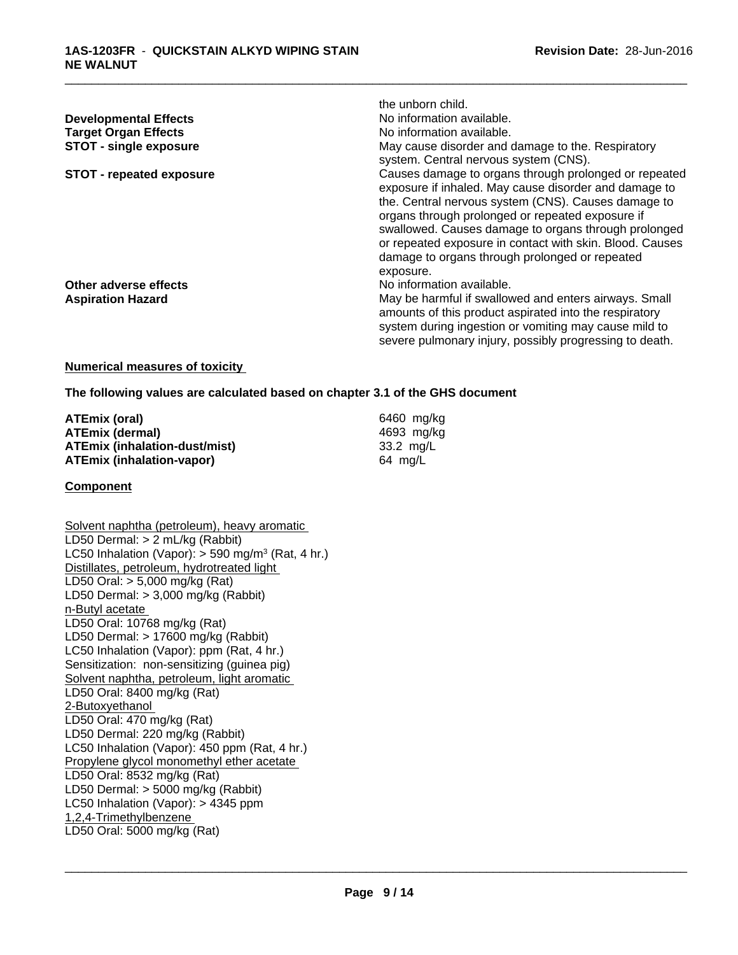|                                 | the unborn child.                                                                                              |
|---------------------------------|----------------------------------------------------------------------------------------------------------------|
| <b>Developmental Effects</b>    | No information available.                                                                                      |
| <b>Target Organ Effects</b>     | No information available.                                                                                      |
| <b>STOT - single exposure</b>   | May cause disorder and damage to the. Respiratory                                                              |
|                                 | system. Central nervous system (CNS).                                                                          |
| <b>STOT - repeated exposure</b> | Causes damage to organs through prolonged or repeated<br>exposure if inhaled. May cause disorder and damage to |
|                                 | the. Central nervous system (CNS). Causes damage to                                                            |
|                                 | organs through prolonged or repeated exposure if                                                               |
|                                 | swallowed. Causes damage to organs through prolonged                                                           |
|                                 | or repeated exposure in contact with skin. Blood. Causes                                                       |
|                                 | damage to organs through prolonged or repeated                                                                 |
|                                 | exposure.                                                                                                      |
| Other adverse effects           | No information available.                                                                                      |
| <b>Aspiration Hazard</b>        | May be harmful if swallowed and enters airways. Small                                                          |
|                                 | amounts of this product aspirated into the respiratory                                                         |
|                                 | system during ingestion or vomiting may cause mild to                                                          |
|                                 | severe pulmonary injury, possibly progressing to death.                                                        |

#### **Numerical measures of toxicity**

**The following values are calculated based on chapter 3.1 of the GHS document**

| ATEmix (oral)                 | 6460 mg/ka |
|-------------------------------|------------|
| ATEmix (dermal)               | 4693 mg/ka |
| ATEmix (inhalation-dust/mist) | 33.2 ma/L  |
| ATEmix (inhalation-vapor)     | 64 mg/L    |

#### **Component**

Solvent naphtha (petroleum), heavy aromatic LD50 Dermal: > 2 mL/kg (Rabbit) LC50 Inhalation (Vapor): > 590 mg/m<sup>3</sup> (Rat, 4 hr.) Distillates, petroleum, hydrotreated light LD50 Oral: > 5,000 mg/kg (Rat) LD50 Dermal: > 3,000 mg/kg (Rabbit) n-Butyl acetate LD50 Oral: 10768 mg/kg (Rat) LD50 Dermal: > 17600 mg/kg (Rabbit) LC50 Inhalation (Vapor): ppm (Rat, 4 hr.) Sensitization: non-sensitizing (guinea pig) Solvent naphtha, petroleum, light aromatic LD50 Oral: 8400 mg/kg (Rat) 2-Butoxyethanol LD50 Oral: 470 mg/kg (Rat) LD50 Dermal: 220 mg/kg (Rabbit) LC50 Inhalation (Vapor): 450 ppm (Rat, 4 hr.) Propylene glycol monomethyl ether acetate LD50 Oral: 8532 mg/kg (Rat) LD50 Dermal: > 5000 mg/kg (Rabbit) LC50 Inhalation (Vapor): > 4345 ppm 1,2,4-Trimethylbenzene LD50 Oral: 5000 mg/kg (Rat)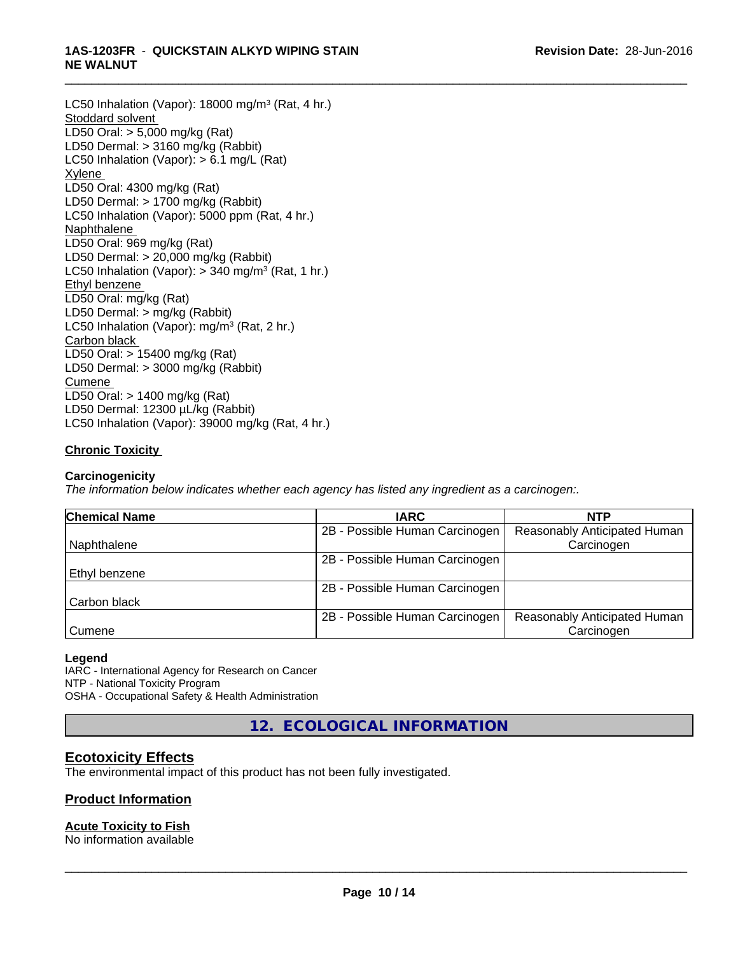#### \_\_\_\_\_\_\_\_\_\_\_\_\_\_\_\_\_\_\_\_\_\_\_\_\_\_\_\_\_\_\_\_\_\_\_\_\_\_\_\_\_\_\_\_\_\_\_\_\_\_\_\_\_\_\_\_\_\_\_\_\_\_\_\_\_\_\_\_\_\_\_\_\_\_\_\_\_\_\_\_\_\_\_\_\_\_\_\_\_\_\_\_\_ **1AS-1203FR** - **QUICKSTAIN ALKYD WIPING STAIN NE WALNUT**

LC50 Inhalation (Vapor): 18000 mg/m<sup>3</sup> (Rat, 4 hr.) Stoddard solvent LD50 Oral: > 5,000 mg/kg (Rat) LD50 Dermal: > 3160 mg/kg (Rabbit) LC50 Inhalation (Vapor): > 6.1 mg/L (Rat) Xylene LD50 Oral: 4300 mg/kg (Rat) LD50 Dermal: > 1700 mg/kg (Rabbit) LC50 Inhalation (Vapor): 5000 ppm (Rat, 4 hr.) Naphthalene LD50 Oral: 969 mg/kg (Rat) LD50 Dermal: > 20,000 mg/kg (Rabbit) LC50 Inhalation (Vapor): > 340 mg/m<sup>3</sup> (Rat, 1 hr.) Ethyl benzene LD50 Oral: mg/kg (Rat) LD50 Dermal: > mg/kg (Rabbit) LC50 Inhalation (Vapor): mg/m<sup>3</sup> (Rat, 2 hr.) Carbon black LD50 Oral: > 15400 mg/kg (Rat) LD50 Dermal: > 3000 mg/kg (Rabbit) Cumene LD50 Oral: > 1400 mg/kg (Rat) LD50 Dermal: 12300 µL/kg (Rabbit) LC50 Inhalation (Vapor): 39000 mg/kg (Rat, 4 hr.)

# **Chronic Toxicity**

### **Carcinogenicity**

*The information below indicateswhether each agency has listed any ingredient as a carcinogen:.*

| <b>Chemical Name</b> | <b>IARC</b>                    | <b>NTP</b>                   |  |
|----------------------|--------------------------------|------------------------------|--|
|                      | 2B - Possible Human Carcinogen | Reasonably Anticipated Human |  |
| Naphthalene          |                                | Carcinogen                   |  |
|                      | 2B - Possible Human Carcinogen |                              |  |
| l Ethvl benzene      |                                |                              |  |
|                      | 2B - Possible Human Carcinogen |                              |  |
| Carbon black         |                                |                              |  |
|                      | 2B - Possible Human Carcinogen | Reasonably Anticipated Human |  |
| Cumene               |                                | Carcinogen                   |  |

#### **Legend**

IARC - International Agency for Research on Cancer NTP - National Toxicity Program OSHA - Occupational Safety & Health Administration

**12. ECOLOGICAL INFORMATION**

# **Ecotoxicity Effects**

The environmental impact of this product has not been fully investigated.

## **Product Information**

# **Acute Toxicity to Fish**

No information available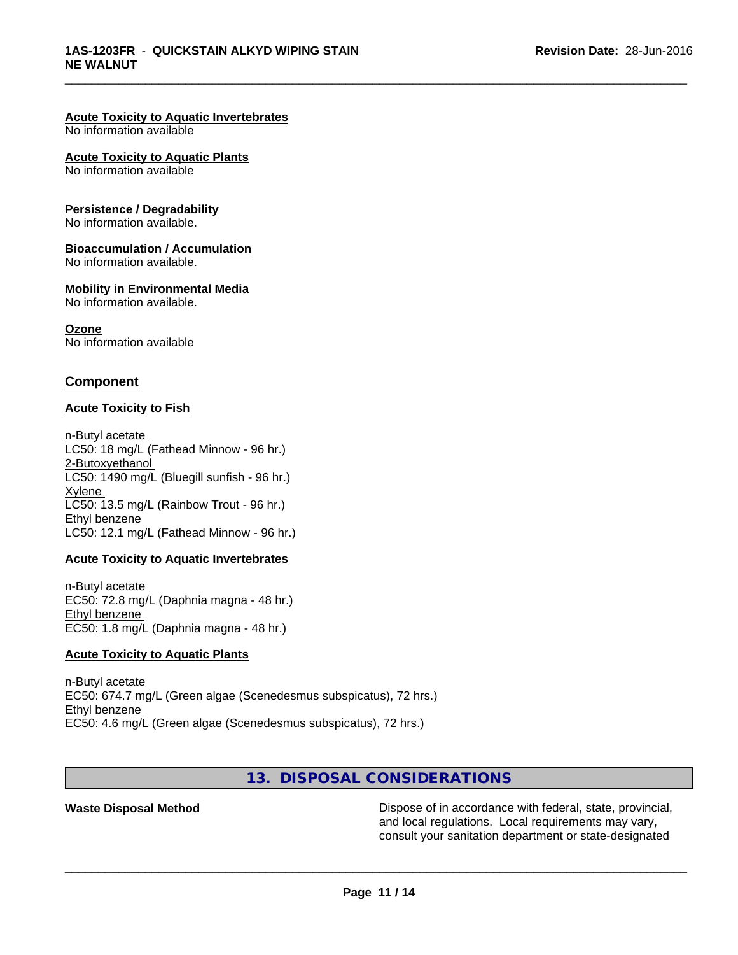#### **Acute Toxicity to Aquatic Invertebrates**

No information available

#### **Acute Toxicity to Aquatic Plants**

No information available

#### **Persistence / Degradability**

No information available.

#### **Bioaccumulation / Accumulation**

No information available.

#### **Mobility in Environmental Media**

No information available.

#### **Ozone**

No information available

## **Component**

#### **Acute Toxicity to Fish**

n-Butyl acetate LC50: 18 mg/L (Fathead Minnow - 96 hr.) 2-Butoxyethanol LC50:  $1490$  mg/L (Bluegill sunfish - 96 hr.) Xylene LC50: 13.5 mg/L (Rainbow Trout - 96 hr.) Ethyl benzene LC50: 12.1 mg/L (Fathead Minnow - 96 hr.)

#### **Acute Toxicity to Aquatic Invertebrates**

n-Butyl acetate EC50: 72.8 mg/L (Daphnia magna - 48 hr.) Ethyl benzene EC50: 1.8 mg/L (Daphnia magna - 48 hr.)

#### **Acute Toxicity to Aquatic Plants**

n-Butyl acetate EC50: 674.7 mg/L (Green algae (Scenedesmus subspicatus), 72 hrs.) Ethyl benzene EC50: 4.6 mg/L (Green algae (Scenedesmus subspicatus), 72 hrs.)

# **13. DISPOSAL CONSIDERATIONS**

**Waste Disposal Method Dispose of in accordance with federal, state, provincial,** and local regulations. Local requirements may vary, consult your sanitation department or state-designated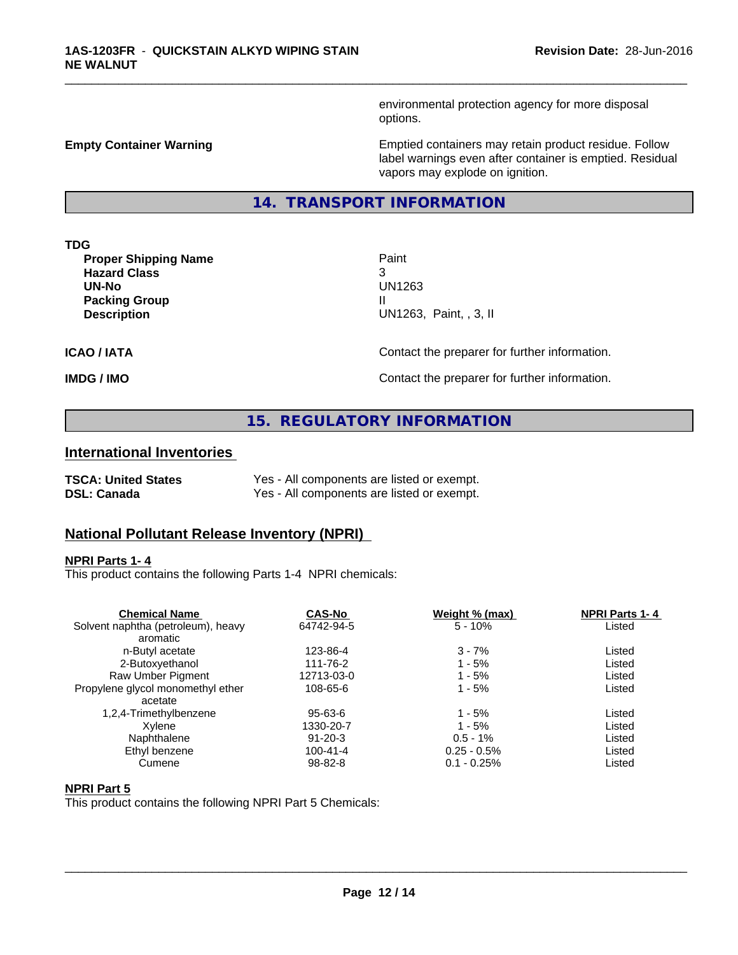environmental protection agency for more disposal options.

**Empty Container Warning <b>Emptied** Containers may retain product residue. Follow label warnings even after container is emptied. Residual vapors may explode on ignition.

## **14. TRANSPORT INFORMATION**

**TDG**

**Proper Shipping Name Paint Hazard Class** 3 **UN-No** UN1263 **Packing Group III**<br> **Pescription** 

**Description** UN1263, Paint, , 3, II

\_\_\_\_\_\_\_\_\_\_\_\_\_\_\_\_\_\_\_\_\_\_\_\_\_\_\_\_\_\_\_\_\_\_\_\_\_\_\_\_\_\_\_\_\_\_\_\_\_\_\_\_\_\_\_\_\_\_\_\_\_\_\_\_\_\_\_\_\_\_\_\_\_\_\_\_\_\_\_\_\_\_\_\_\_\_\_\_\_\_\_\_\_

**ICAO / IATA** Contact the preparer for further information.

**IMDG / IMO Contact the preparer for further information.** 

# **15. REGULATORY INFORMATION**

# **International Inventories**

| <b>TSCA: United States</b> | Yes - All components are listed or exempt. |
|----------------------------|--------------------------------------------|
| <b>DSL: Canada</b>         | Yes - All components are listed or exempt. |

# **National Pollutant Release Inventory (NPRI)**

#### **NPRI Parts 1- 4**

This product contains the following Parts 1-4 NPRI chemicals:

| <b>Chemical Name</b>               | <b>CAS-No</b>  | Weight % (max) | <b>NPRI Parts 1-4</b> |  |
|------------------------------------|----------------|----------------|-----------------------|--|
| Solvent naphtha (petroleum), heavy | 64742-94-5     | $5 - 10%$      | Listed                |  |
| aromatic                           |                |                |                       |  |
| n-Butyl acetate                    | 123-86-4       | $3 - 7%$       | Listed                |  |
| 2-Butoxyethanol                    | 111-76-2       | $1 - 5%$       | Listed                |  |
| Raw Umber Pigment                  | 12713-03-0     | $1 - 5%$       | Listed                |  |
| Propylene glycol monomethyl ether  | 108-65-6       | $1 - 5%$       | Listed                |  |
| acetate                            |                |                |                       |  |
| 1,2,4-Trimethylbenzene             | $95 - 63 - 6$  | 1 - 5%         | Listed                |  |
| Xvlene                             | 1330-20-7      | $1 - 5%$       | Listed                |  |
| Naphthalene                        | $91 - 20 - 3$  | $0.5 - 1%$     | Listed                |  |
| Ethyl benzene                      | $100 - 41 - 4$ | $0.25 - 0.5\%$ | Listed                |  |
| Cumene                             | $98 - 82 - 8$  | $0.1 - 0.25\%$ | Listed                |  |
|                                    |                |                |                       |  |

# **NPRI Part 5**

This product contains the following NPRI Part 5 Chemicals: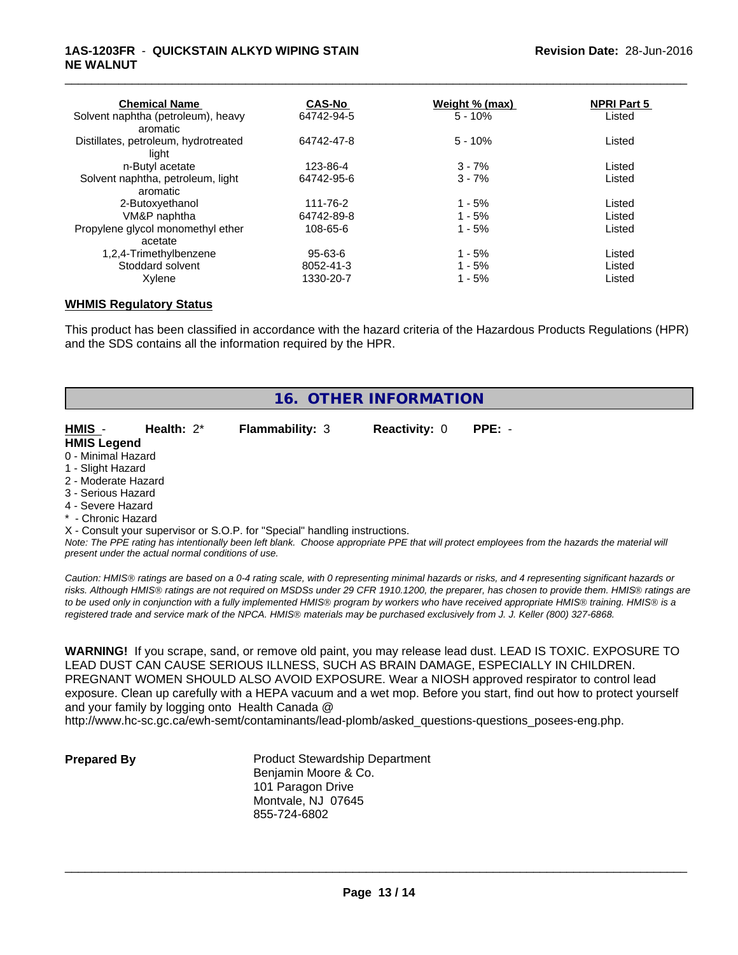### **1AS-1203FR** - **QUICKSTAIN ALKYD WIPING STAIN NE WALNUT**

| <b>CAS-No</b> |           | <b>NPRI Part 5</b>    |  |
|---------------|-----------|-----------------------|--|
| 64742-94-5    | $5 - 10%$ | Listed                |  |
| 64742-47-8    | $5 - 10%$ | Listed                |  |
| 123-86-4      | $3 - 7%$  | Listed                |  |
| 64742-95-6    | $3 - 7%$  | Listed                |  |
|               |           |                       |  |
| 111-76-2      | $1 - 5%$  | Listed                |  |
| 64742-89-8    | $1 - 5%$  | Listed                |  |
| 108-65-6      | $1 - 5%$  | Listed                |  |
|               |           |                       |  |
| 95-63-6       | $1 - 5%$  | Listed                |  |
| 8052-41-3     | $1 - 5%$  | Listed                |  |
| 1330-20-7     | $1 - 5%$  | Listed                |  |
|               |           | <u>Weight % (max)</u> |  |

\_\_\_\_\_\_\_\_\_\_\_\_\_\_\_\_\_\_\_\_\_\_\_\_\_\_\_\_\_\_\_\_\_\_\_\_\_\_\_\_\_\_\_\_\_\_\_\_\_\_\_\_\_\_\_\_\_\_\_\_\_\_\_\_\_\_\_\_\_\_\_\_\_\_\_\_\_\_\_\_\_\_\_\_\_\_\_\_\_\_\_\_\_

#### **WHMIS Regulatory Status**

This product has been classified in accordance with the hazard criteria of the Hazardous Products Regulations (HPR) and the SDS contains all the information required by the HPR.

| 16. OTHER INFORMATION |               |                                                                            |                      |          |  |
|-----------------------|---------------|----------------------------------------------------------------------------|----------------------|----------|--|
| HMIS -                | Health: $2^*$ | <b>Flammability: 3</b>                                                     | <b>Reactivity: 0</b> | $PPE: -$ |  |
| <b>HMIS Legend</b>    |               |                                                                            |                      |          |  |
| 0 - Minimal Hazard    |               |                                                                            |                      |          |  |
| 1 - Slight Hazard     |               |                                                                            |                      |          |  |
| 2 - Moderate Hazard   |               |                                                                            |                      |          |  |
| 3 - Serious Hazard    |               |                                                                            |                      |          |  |
| 4 - Severe Hazard     |               |                                                                            |                      |          |  |
| * - Chronic Hazard    |               |                                                                            |                      |          |  |
|                       |               | X - Consult your supervisor or S.O.P. for "Special" handling instructions. |                      |          |  |

*Note: The PPE rating has intentionally been left blank. Choose appropriate PPE that will protect employees from the hazards the material will present under the actual normal conditions of use.*

*Caution: HMISÒ ratings are based on a 0-4 rating scale, with 0 representing minimal hazards or risks, and 4 representing significant hazards or risks. Although HMISÒ ratings are not required on MSDSs under 29 CFR 1910.1200, the preparer, has chosen to provide them. HMISÒ ratings are to be used only in conjunction with a fully implemented HMISÒ program by workers who have received appropriate HMISÒ training. HMISÒ is a registered trade and service mark of the NPCA. HMISÒ materials may be purchased exclusively from J. J. Keller (800) 327-6868.*

**WARNING!** If you scrape, sand, or remove old paint, you may release lead dust. LEAD IS TOXIC. EXPOSURE TO LEAD DUST CAN CAUSE SERIOUS ILLNESS, SUCH AS BRAIN DAMAGE, ESPECIALLY IN CHILDREN. PREGNANT WOMEN SHOULD ALSO AVOID EXPOSURE.Wear a NIOSH approved respirator to control lead exposure. Clean up carefully with a HEPA vacuum and a wet mop. Before you start, find out how to protect yourself and your family by logging onto Health Canada @

http://www.hc-sc.gc.ca/ewh-semt/contaminants/lead-plomb/asked\_questions-questions\_posees-eng.php.

**Prepared By** Product Stewardship Department Benjamin Moore & Co. 101 Paragon Drive Montvale, NJ 07645 855-724-6802